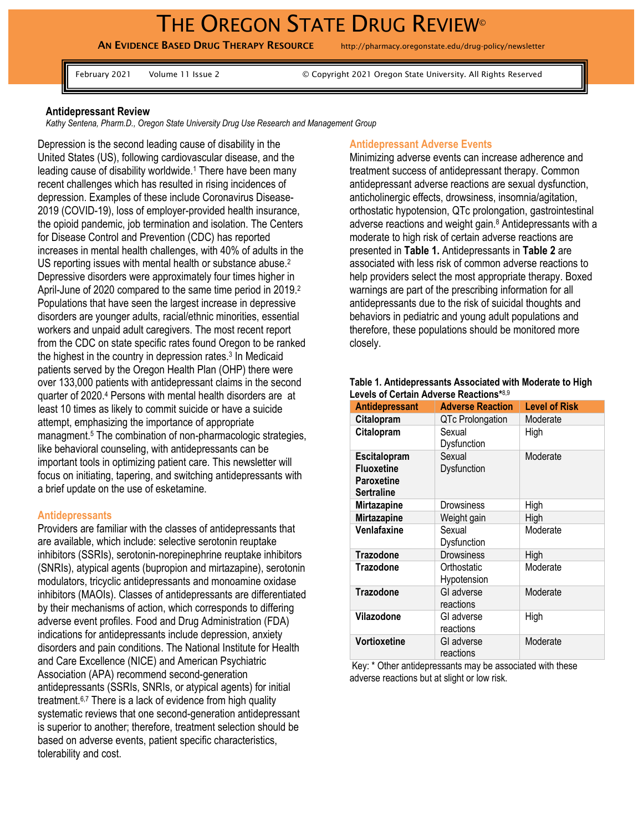# THE OREGON STATE DRUG REVIEW®

AN EVIDENCE BASED DRUG THERAPY RESOURCE http://pharmacy.oregonstate.edu/drug-policy/newsletter

February 2021 Volume 11 Issue 2 © Copyright 2021 Oregon State University. All Rights Reserved

## **Antidepressant Review**

*Kathy Sentena, Pharm.D., Oregon State University Drug Use Research and Management Group* 

Depression is the second leading cause of disability in the United States (US), following cardiovascular disease, and the leading cause of disability worldwide.<sup>1</sup> There have been many recent challenges which has resulted in rising incidences of depression. Examples of these include Coronavirus Disease-2019 (COVID-19), loss of employer-provided health insurance, the opioid pandemic, job termination and isolation. The Centers for Disease Control and Prevention (CDC) has reported increases in mental health challenges, with 40% of adults in the US reporting issues with mental health or substance abuse.<sup>2</sup> Depressive disorders were approximately four times higher in April-June of 2020 compared to the same time period in 2019.<sup>2</sup> Populations that have seen the largest increase in depressive disorders are younger adults, racial/ethnic minorities, essential workers and unpaid adult caregivers. The most recent report from the CDC on state specific rates found Oregon to be ranked the highest in the country in depression rates.<sup>3</sup> In Medicaid patients served by the Oregon Health Plan (OHP) there were over 133,000 patients with antidepressant claims in the second quarter of 2020.<sup>4</sup> Persons with mental health disorders are at least 10 times as likely to commit suicide or have a suicide attempt, emphasizing the importance of appropriate managment. <sup>5</sup> The combination of non-pharmacologic strategies, like behavioral counseling, with antidepressants can be important tools in optimizing patient care. This newsletter will focus on initiating, tapering, and switching antidepressants with a brief update on the use of esketamine.

### **Antidepressants**

Providers are familiar with the classes of antidepressants that are available, which include: selective serotonin reuptake inhibitors (SSRIs), serotonin-norepinephrine reuptake inhibitors (SNRIs), atypical agents (bupropion and mirtazapine), serotonin modulators, tricyclic antidepressants and monoamine oxidase inhibitors (MAOIs). Classes of antidepressants are differentiated by their mechanisms of action, which corresponds to differing adverse event profiles. Food and Drug Administration (FDA) indications for antidepressants include depression, anxiety disorders and pain conditions. The National Institute for Health and Care Excellence (NICE) and American Psychiatric Association (APA) recommend second-generation antidepressants (SSRIs, SNRIs, or atypical agents) for initial treatment.<sup>6,7</sup> There is a lack of evidence from high quality systematic reviews that one second-generation antidepressant is superior to another; therefore, treatment selection should be based on adverse events, patient specific characteristics, tolerability and cost.

## **Antidepressant Adverse Events**

Minimizing adverse events can increase adherence and treatment success of antidepressant therapy. Common antidepressant adverse reactions are sexual dysfunction, anticholinergic effects, drowsiness, insomnia/agitation, orthostatic hypotension, QTc prolongation, gastrointestinal adverse reactions and weight gain.<sup>8</sup> Antidepressants with a moderate to high risk of certain adverse reactions are presented in **Table 1.** Antidepressants in **Table 2** are associated with less risk of common adverse reactions to help providers select the most appropriate therapy. Boxed warnings are part of the prescribing information for all antidepressants due to the risk of suicidal thoughts and behaviors in pediatric and young adult populations and therefore, these populations should be monitored more closely.

| <b>Antidepressant</b>                                                       | <b>Adverse Reaction</b>           | <b>Level of Risk</b> |  |
|-----------------------------------------------------------------------------|-----------------------------------|----------------------|--|
| Citalopram                                                                  | QTc Prolongation                  | Moderate             |  |
| Citalopram                                                                  | Sexual<br>Dysfunction             | High                 |  |
| <b>Escitalopram</b><br><b>Fluoxetine</b><br>Paroxetine<br><b>Sertraline</b> | Sexual<br>Moderate<br>Dysfunction |                      |  |
| <b>Mirtazapine</b>                                                          | Drowsiness                        | High                 |  |
| <b>Mirtazapine</b>                                                          | Weight gain                       | High                 |  |
| Venlafaxine                                                                 | Sexual<br>Dysfunction             | Moderate             |  |
| <b>Trazodone</b>                                                            | Drowsiness                        | High                 |  |
| <b>Trazodone</b>                                                            | Orthostatic<br>Hypotension        | Moderate             |  |
| <b>Trazodone</b>                                                            | GI adverse<br>reactions           | Moderate             |  |
| Vilazodone                                                                  | GI adverse<br>reactions           | High                 |  |
| Vortioxetine                                                                | GI adverse<br>reactions           | Moderate             |  |

#### **Table 1. Antidepressants Associated with Moderate to High Levels of Certain Adverse Reactions\***8,9

Key: \* Other antidepressants may be associated with these adverse reactions but at slight or low risk.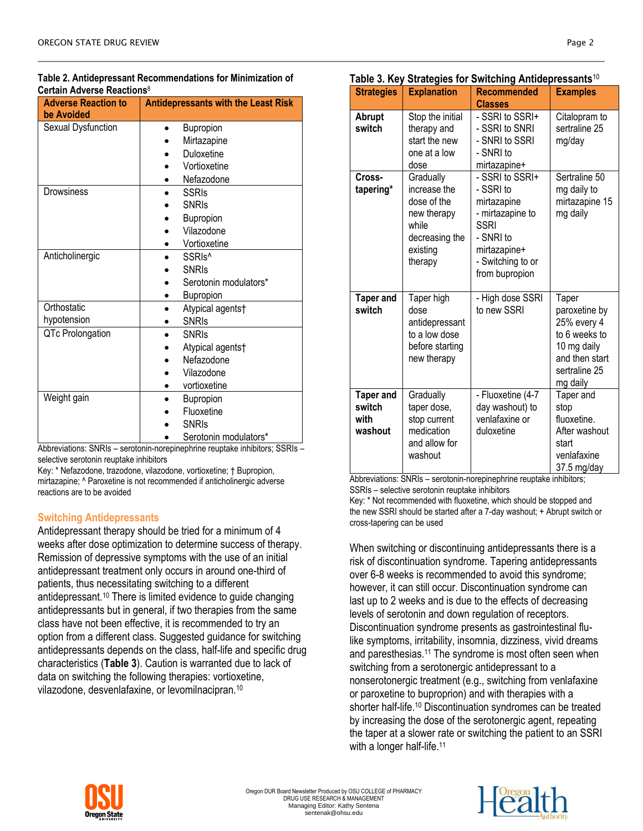| лин дитегзе кеасионз<br><b>Adverse Reaction to</b><br>be Avoided | <b>Antidepressants with the Least Risk</b> |  |
|------------------------------------------------------------------|--------------------------------------------|--|
| Sexual Dysfunction                                               | Bupropion                                  |  |
|                                                                  | Mirtazapine                                |  |
|                                                                  | Duloxetine                                 |  |
|                                                                  | Vortioxetine                               |  |
|                                                                  | Nefazodone                                 |  |
| Drowsiness                                                       | <b>SSRIs</b>                               |  |
|                                                                  | <b>SNRIs</b>                               |  |
|                                                                  | Bupropion                                  |  |
|                                                                  | Vilazodone                                 |  |
|                                                                  | Vortioxetine                               |  |
| Anticholinergic                                                  | SSRI <sub>s</sub> <sup>^</sup>             |  |
|                                                                  | <b>SNRIS</b>                               |  |
|                                                                  | Serotonin modulators*                      |  |
|                                                                  | Bupropion                                  |  |
| Orthostatic                                                      | Atypical agents†                           |  |
| hypotension                                                      | <b>SNRIs</b>                               |  |
| QTc Prolongation                                                 | <b>SNRIS</b>                               |  |
|                                                                  | Atypical agents†                           |  |
|                                                                  | Nefazodone                                 |  |
|                                                                  | Vilazodone                                 |  |
|                                                                  | vortioxetine                               |  |
| Weight gain                                                      | Bupropion                                  |  |
|                                                                  | Fluoxetine                                 |  |
|                                                                  | <b>SNRIS</b>                               |  |
|                                                                  | Serotonin modulators*                      |  |

Abbreviations: SNRIs – serotonin-norepinephrine reuptake inhibitors; SSRIs – selective serotonin reuptake inhibitors

Key: \* Nefazodone, trazodone, vilazodone, vortioxetine; † Bupropion, mirtazapine; ^ Paroxetine is not recommended if anticholinergic adverse reactions are to be avoided

# **Switching Antidepressants**

Antidepressant therapy should be tried for a minimum of 4 weeks after dose optimization to determine success of therapy. Remission of depressive symptoms with the use of an initial antidepressant treatment only occurs in around one-third of patients, thus necessitating switching to a different antidepressant. <sup>10</sup> There is limited evidence to guide changing antidepressants but in general, if two therapies from the same class have not been effective, it is recommended to try an option from a different class. Suggested guidance for switching antidepressants depends on the class, half-life and specific drug characteristics (**Table 3**). Caution is warranted due to lack of data on switching the following therapies: vortioxetine, vilazodone, desvenlafaxine, or levomilnacipran.<sup>10</sup>

| <b>Strategies</b>                                                                                         | <b>Explanation</b>                                                                                        | <b>Recommended</b>                                                                                                                                 | <b>Examples</b>                                                                                                      |
|-----------------------------------------------------------------------------------------------------------|-----------------------------------------------------------------------------------------------------------|----------------------------------------------------------------------------------------------------------------------------------------------------|----------------------------------------------------------------------------------------------------------------------|
|                                                                                                           |                                                                                                           | <b>Classes</b>                                                                                                                                     |                                                                                                                      |
| Abrupt<br>switch                                                                                          | Stop the initial<br>therapy and<br>start the new<br>one at a low<br>dose                                  | - SSRI to SSRI+<br>- SSRI to SNRI<br>- SNRI to SSRI<br>- SNRI to<br>mirtazapine+                                                                   | Citalopram to<br>sertraline 25<br>mg/day                                                                             |
| Cross-<br>tapering*                                                                                       | Gradually<br>increase the<br>dose of the<br>new therapy<br>while<br>decreasing the<br>existing<br>therapy | - SSRI to SSRI+<br>- SSRI to<br>mirtazapine<br>- mirtazapine to<br><b>SSRI</b><br>- SNRI to<br>mirtazapine+<br>- Switching to or<br>from bupropion | Sertraline 50<br>mg daily to<br>mirtazapine 15<br>mg daily                                                           |
| <b>Taper and</b><br>switch                                                                                | Taper high<br>dose<br>antidepressant<br>to a low dose<br>before starting<br>new therapy                   | - High dose SSRI<br>to new SSRI                                                                                                                    | Taper<br>paroxetine by<br>25% every 4<br>to 6 weeks to<br>10 mg daily<br>and then start<br>sertraline 25<br>mg daily |
| <b>Taper and</b><br>switch<br>with<br>washout<br>$\overline{A}$ $\overline{A}$ $\overline{A}$<br>$2 - 12$ | Gradually<br>taper dose,<br>stop current<br>medication<br>and allow for<br>washout<br>$\cdot$ .<br>AIDL.  | - Fluoxetine (4-7<br>day washout) to<br>venlafaxine or<br>duloxetine<br>$\ddot{\phantom{a}}$<br>Ŀ.                                                 | Taper and<br>stop<br>fluoxetine.<br>After washout<br>start<br>venlafaxine<br>37.5 mg/day<br>1211-141                 |

**Table 3. Key Strategies for Switching Antidepressants**<sup>10</sup>

Abbreviations: SNRIs – serotonin-norepinephrine reuptake inhibitors; SSRIs – selective serotonin reuptake inhibitors

Key: \* Not recommended with fluoxetine, which should be stopped and the new SSRI should be started after a 7-day washout; + Abrupt switch or cross-tapering can be used

When switching or discontinuing antidepressants there is a risk of discontinuation syndrome. Tapering antidepressants over 6-8 weeks is recommended to avoid this syndrome; however, it can still occur. Discontinuation syndrome can last up to 2 weeks and is due to the effects of decreasing levels of serotonin and down regulation of receptors. Discontinuation syndrome presents as gastrointestinal flulike symptoms, irritability, insomnia, dizziness, vivid dreams and paresthesias.<sup>11</sup> The syndrome is most often seen when switching from a serotonergic antidepressant to a nonserotonergic treatment (e.g., switching from venlafaxine or paroxetine to buproprion) and with therapies with a shorter half-life. <sup>10</sup> Discontinuation syndromes can be treated by increasing the dose of the serotonergic agent, repeating the taper at a slower rate or switching the patient to an SSRI with a longer half-life.<sup>11</sup>



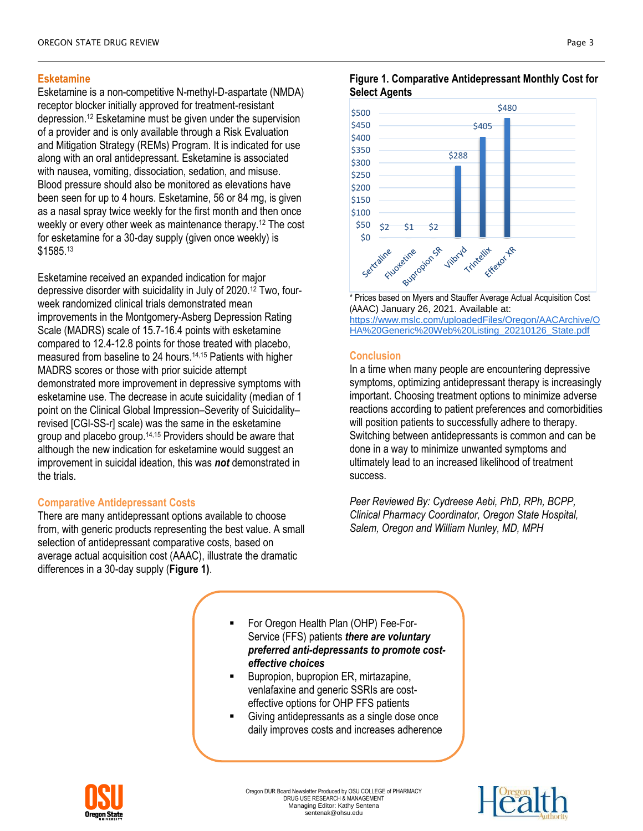# **Esketamine**

Esketamine is a non-competitive N-methyl-D-aspartate (NMDA) receptor blocker initially approved for treatment-resistant depression.<sup>12</sup> Esketamine must be given under the supervision of a provider and is only available through a Risk Evaluation and Mitigation Strategy (REMs) Program. It is indicated for use along with an oral antidepressant. Esketamine is associated with nausea, vomiting, dissociation, sedation, and misuse. Blood pressure should also be monitored as elevations have been seen for up to 4 hours. Esketamine, 56 or 84 mg, is given as a nasal spray twice weekly for the first month and then once weekly or every other week as maintenance therapy.<sup>12</sup> The cost for esketamine for a 30-day supply (given once weekly) is \$1585.<sup>13</sup>

Esketamine received an expanded indication for major depressive disorder with suicidality in July of 2020. <sup>12</sup> Two, fourweek randomized clinical trials demonstrated mean improvements in the Montgomery-Asberg Depression Rating Scale (MADRS) scale of 15.7-16.4 points with esketamine compared to 12.4-12.8 points for those treated with placebo, measured from baseline to 24 hours. 14,15 Patients with higher MADRS scores or those with prior suicide attempt demonstrated more improvement in depressive symptoms with esketamine use. The decrease in acute suicidality (median of 1 point on the Clinical Global Impression–Severity of Suicidality– revised [CGI-SS-r] scale) was the same in the esketamine group and placebo group.14,15 Providers should be aware that although the new indication for esketamine would suggest an improvement in suicidal ideation, this was *not* demonstrated in the trials.

## **Comparative Antidepressant Costs**

There are many antidepressant options available to choose from, with generic products representing the best value. A small selection of antidepressant comparative costs, based on average actual acquisition cost (AAAC), illustrate the dramatic differences in a 30-day supply (**Figure 1)**.





\* Prices based on Myers and Stauffer Average Actual Acquisition Cost (AAAC) January 26, 2021. Available at: [https://www.mslc.com/uploadedFiles/Oregon/AACArchive/O](https://www.mslc.com/uploadedFiles/Oregon/AACArchive/OHA%20Generic%20Web%20Listing_20210126_State.pdf) [HA%20Generic%20Web%20Listing\\_20210126\\_State.pdf](https://www.mslc.com/uploadedFiles/Oregon/AACArchive/OHA%20Generic%20Web%20Listing_20210126_State.pdf)

## **Conclusion**

In a time when many people are encountering depressive symptoms, optimizing antidepressant therapy is increasingly important. Choosing treatment options to minimize adverse reactions according to patient preferences and comorbidities will position patients to successfully adhere to therapy. Switching between antidepressants is common and can be done in a way to minimize unwanted symptoms and ultimately lead to an increased likelihood of treatment success.

*Peer Reviewed By: Cydreese Aebi, PhD, RPh, BCPP, Clinical Pharmacy Coordinator, Oregon State Hospital, Salem, Oregon and William Nunley, MD, MPH* 

- For Oregon Health Plan (OHP) Fee-For-Service (FFS) patients *there are voluntary preferred anti-depressants to promote costeffective choices*
- Bupropion, bupropion ER, mirtazapine, venlafaxine and generic SSRIs are costeffective options for OHP FFS patients
- Giving antidepressants as a single dose once daily improves costs and increases adherence



Oregon DUR Board Newsletter Produced by OSU COLLEGE of PHARMACY DRUG USE RESEARCH & MANAGEMENT Managing Editor: Kathy Sentena sentenak@ohsu.edu